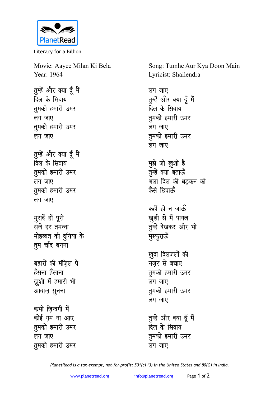

Literacy for a Billion

Movie: Aayee Milan Ki Bela Year: 1964

तुम्हें और क्या दूँ मैं **दिल के सिवाय तुमको हमारी उमर** लग जाए तुमको हमारी उमर लग जाए

तुम्हें और क्या दूँ मैं <u>दिल के सिवाय</u> **तुमको हमारी उमर** लग जाए तुमको हमारी उमर *लगजाए* 

मुरादें हों पूरी सजे हर तमन्ना **मोहब्बत की दुनिया के तुम** चाँद बनना

बहारों की मंजिल पे हँसना हँसाना खुशी में हमारी भी आवाज़ सुनना

कभी जिन्दगी में कोई ग़म ना आए **तुमको हमारी उमर** लग जाए तुमको हमारी उमर Song: Tumhe Aur Kya Doon Main Lyricist: Shailendra

लग जाए तुम्हें और क्या दूँ मैं <u>दिल के सिवाय</u> तुमको हमारी उमर लग जाए **तुमको हमारी उमर** लग जाए

**मुझे** जो ख़ुशी है तुम्हें क्या बताऊँ भला दिल की धड़कन को कैसे छिपान्<del>ह</del>ॅ

कहीं हो न जाऊँ ख़ुशी से मैं पागल तुम्हें देखकर और भी **मुस्कुरा**ऊँ

खुदा दिलजलों की **नजर से बचाए** तुमको हमारी उमर लग जाए तुमको हमारी उमर लग जाए

तुम्हें और क्या दूँ मैं ,<br>दिल के सिवाय तुमको हमारी उमर लग जाए

*PlanetRead is a tax-exempt, not-for-profit: 501(c) (3) in the United States and 80(G) in India.*